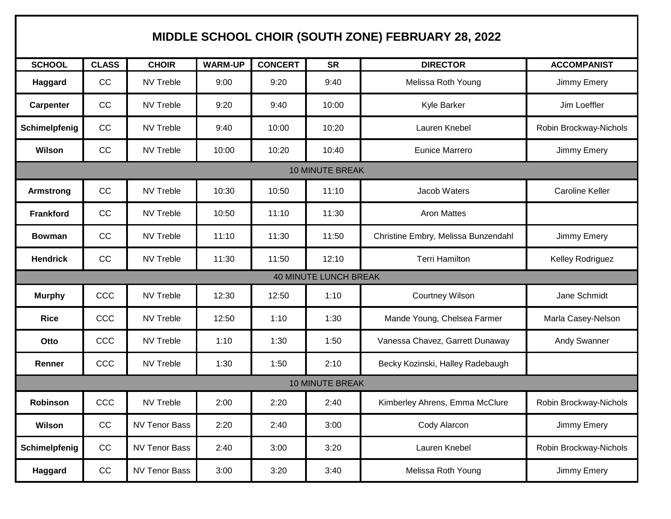## **MIDDLE SCHOOL CHOIR (SOUTH ZONE) FEBRUARY 28, 2022**

| <b>SCHOOL</b>                | <b>CLASS</b> | <b>CHOIR</b>         | <b>WARM-UP</b> | <b>CONCERT</b> | <b>SR</b> | <b>DIRECTOR</b>                     | <b>ACCOMPANIST</b>     |  |  |  |
|------------------------------|--------------|----------------------|----------------|----------------|-----------|-------------------------------------|------------------------|--|--|--|
| Haggard                      | CC           | <b>NV Treble</b>     | 9:00           | 9:20           | 9:40      | Melissa Roth Young                  | Jimmy Emery            |  |  |  |
| <b>Carpenter</b>             | CC           | <b>NV Treble</b>     | 9:20           | 9:40           | 10:00     | Kyle Barker                         | Jim Loeffler           |  |  |  |
| Schimelpfenig                | CC           | <b>NV Treble</b>     | 9:40           | 10:00          | 10:20     | Lauren Knebel                       | Robin Brockway-Nichols |  |  |  |
| Wilson                       | CC           | <b>NV Treble</b>     | 10:00          | 10:20          | 10:40     | Eunice Marrero                      | Jimmy Emery            |  |  |  |
| <b>10 MINUTE BREAK</b>       |              |                      |                |                |           |                                     |                        |  |  |  |
| <b>Armstrong</b>             | CC           | <b>NV Treble</b>     | 10:30          | 10:50          | 11:10     | Jacob Waters                        | <b>Caroline Keller</b> |  |  |  |
| <b>Frankford</b>             | CC           | <b>NV Treble</b>     | 10:50          | 11:10          | 11:30     | <b>Aron Mattes</b>                  |                        |  |  |  |
| <b>Bowman</b>                | CC           | <b>NV Treble</b>     | 11:10          | 11:30          | 11:50     | Christine Embry, Melissa Bunzendahl | Jimmy Emery            |  |  |  |
| <b>Hendrick</b>              | CC           | <b>NV Treble</b>     | 11:30          | 11:50          | 12:10     | <b>Terri Hamilton</b>               | Kelley Rodriguez       |  |  |  |
| <b>40 MINUTE LUNCH BREAK</b> |              |                      |                |                |           |                                     |                        |  |  |  |
| <b>Murphy</b>                | CCC          | <b>NV Treble</b>     | 12:30          | 12:50          | 1:10      | <b>Courtney Wilson</b>              | Jane Schmidt           |  |  |  |
| <b>Rice</b>                  | CCC          | <b>NV Treble</b>     | 12:50          | 1:10           | 1:30      | Mande Young, Chelsea Farmer         | Marla Casey-Nelson     |  |  |  |
| Otto                         | CCC          | <b>NV Treble</b>     | 1:10           | 1:30           | 1:50      | Vanessa Chavez, Garrett Dunaway     | Andy Swanner           |  |  |  |
| Renner                       | CCC          | <b>NV Treble</b>     | 1:30           | 1:50           | 2:10      | Becky Kozinski, Halley Radebaugh    |                        |  |  |  |
| <b>10 MINUTE BREAK</b>       |              |                      |                |                |           |                                     |                        |  |  |  |
| <b>Robinson</b>              | CCC          | <b>NV Treble</b>     | 2:00           | 2:20           | 2:40      | Kimberley Ahrens, Emma McClure      | Robin Brockway-Nichols |  |  |  |
| Wilson                       | CC           | <b>NV Tenor Bass</b> | 2:20           | 2:40           | 3:00      | Cody Alarcon                        | Jimmy Emery            |  |  |  |
| Schimelpfenig                | CC           | <b>NV Tenor Bass</b> | 2:40           | 3:00           | 3:20      | Lauren Knebel                       | Robin Brockway-Nichols |  |  |  |
| Haggard                      | CC           | <b>NV Tenor Bass</b> | 3:00           | 3:20           | 3:40      | Melissa Roth Young                  | Jimmy Emery            |  |  |  |